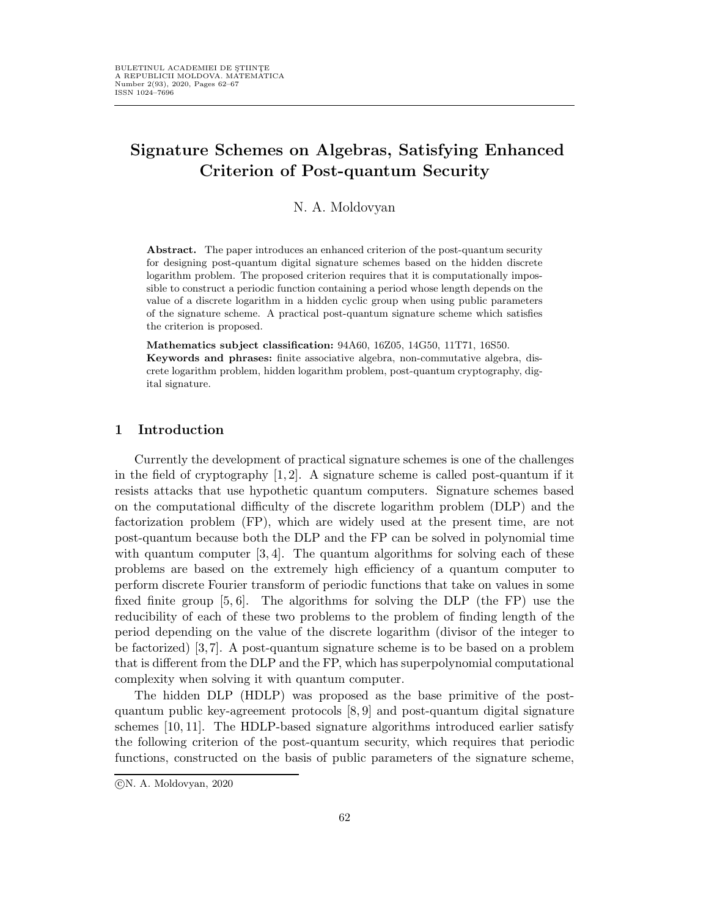# Signature Schemes on Algebras, Satisfying Enhanced Criterion of Post-quantum Security

N. A. Moldovyan

Abstract. The paper introduces an enhanced criterion of the post-quantum security for designing post-quantum digital signature schemes based on the hidden discrete logarithm problem. The proposed criterion requires that it is computationally impossible to construct a periodic function containing a period whose length depends on the value of a discrete logarithm in a hidden cyclic group when using public parameters of the signature scheme. A practical post-quantum signature scheme which satisfies the criterion is proposed.

Mathematics subject classification: 94A60, 16Z05, 14G50, 11T71, 16S50. Keywords and phrases: finite associative algebra, non-commutative algebra, discrete logarithm problem, hidden logarithm problem, post-quantum cryptography, digital signature.

## 1 Introduction

Currently the development of practical signature schemes is one of the challenges in the field of cryptography  $[1, 2]$ . A signature scheme is called post-quantum if it resists attacks that use hypothetic quantum computers. Signature schemes based on the computational difficulty of the discrete logarithm problem (DLP) and the factorization problem (FP), which are widely used at the present time, are not post-quantum because both the DLP and the FP can be solved in polynomial time with quantum computer  $[3, 4]$ . The quantum algorithms for solving each of these problems are based on the extremely high efficiency of a quantum computer to perform discrete Fourier transform of periodic functions that take on values in some fixed finite group [5, 6]. The algorithms for solving the DLP (the FP) use the reducibility of each of these two problems to the problem of finding length of the period depending on the value of the discrete logarithm (divisor of the integer to be factorized) [3, 7]. A post-quantum signature scheme is to be based on a problem that is different from the DLP and the FP, which has superpolynomial computational complexity when solving it with quantum computer.

The hidden DLP (HDLP) was proposed as the base primitive of the postquantum public key-agreement protocols [8, 9] and post-quantum digital signature schemes [10, 11]. The HDLP-based signature algorithms introduced earlier satisfy the following criterion of the post-quantum security, which requires that periodic functions, constructed on the basis of public parameters of the signature scheme,

c N. A. Moldovyan, 2020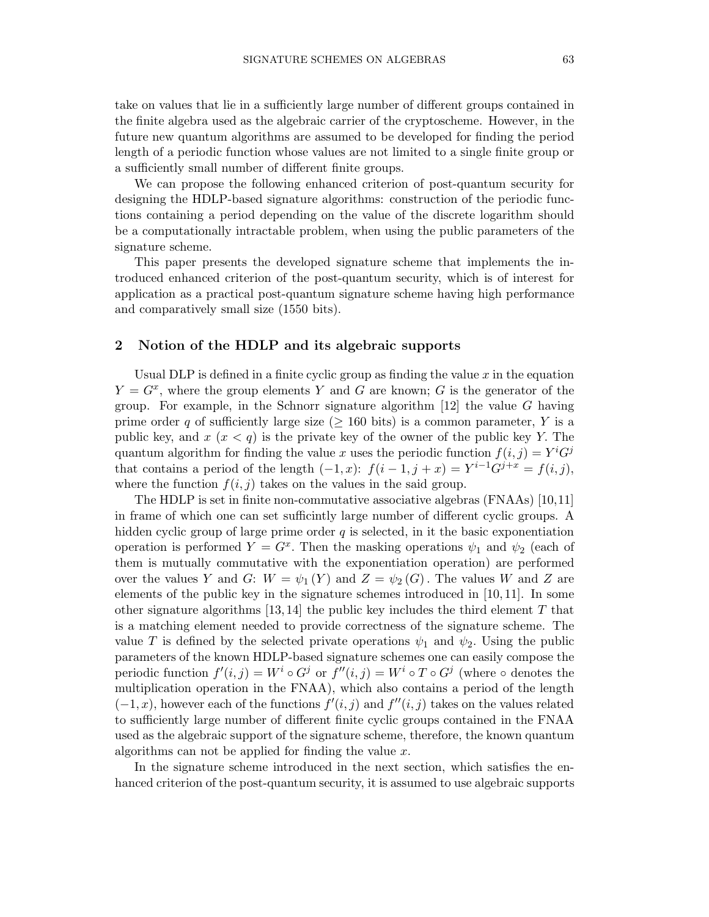take on values that lie in a sufficiently large number of different groups contained in the finite algebra used as the algebraic carrier of the cryptoscheme. However, in the future new quantum algorithms are assumed to be developed for finding the period length of a periodic function whose values are not limited to a single finite group or a sufficiently small number of different finite groups.

We can propose the following enhanced criterion of post-quantum security for designing the HDLP-based signature algorithms: construction of the periodic functions containing a period depending on the value of the discrete logarithm should be a computationally intractable problem, when using the public parameters of the signature scheme.

This paper presents the developed signature scheme that implements the introduced enhanced criterion of the post-quantum security, which is of interest for application as a practical post-quantum signature scheme having high performance and comparatively small size (1550 bits).

### 2 Notion of the HDLP and its algebraic supports

Usual DLP is defined in a finite cyclic group as finding the value  $x$  in the equation  $Y = G^x$ , where the group elements Y and G are known; G is the generator of the group. For example, in the Schnorr signature algorithm  $[12]$  the value G having prime order q of sufficiently large size ( $\geq$  160 bits) is a common parameter, Y is a public key, and  $x (x < q)$  is the private key of the owner of the public key Y. The quantum algorithm for finding the value x uses the periodic function  $f(i, j) = Y^i G^j$ that contains a period of the length  $(-1, x)$ :  $f(i-1, j+x) = Y^{i-1}G^{j+x} = f(i, j)$ , where the function  $f(i, j)$  takes on the values in the said group.

The HDLP is set in finite non-commutative associative algebras (FNAAs) [10,11] in frame of which one can set sufficintly large number of different cyclic groups. A hidden cyclic group of large prime order  $q$  is selected, in it the basic exponentiation operation is performed  $Y = G^x$ . Then the masking operations  $\psi_1$  and  $\psi_2$  (each of them is mutually commutative with the exponentiation operation) are performed over the values Y and G:  $W = \psi_1(Y)$  and  $Z = \psi_2(G)$ . The values W and Z are elements of the public key in the signature schemes introduced in [10, 11]. In some other signature algorithms  $[13, 14]$  the public key includes the third element T that is a matching element needed to provide correctness of the signature scheme. The value T is defined by the selected private operations  $\psi_1$  and  $\psi_2$ . Using the public parameters of the known HDLP-based signature schemes one can easily compose the periodic function  $f'(i, j) = W^i \circ G^j$  or  $f''(i, j) = W^i \circ T \circ G^j$  (where  $\circ$  denotes the multiplication operation in the FNAA), which also contains a period of the length  $(-1, x)$ , however each of the functions  $f'(i, j)$  and  $f''(i, j)$  takes on the values related to sufficiently large number of different finite cyclic groups contained in the FNAA used as the algebraic support of the signature scheme, therefore, the known quantum algorithms can not be applied for finding the value  $x$ .

In the signature scheme introduced in the next section, which satisfies the enhanced criterion of the post-quantum security, it is assumed to use algebraic supports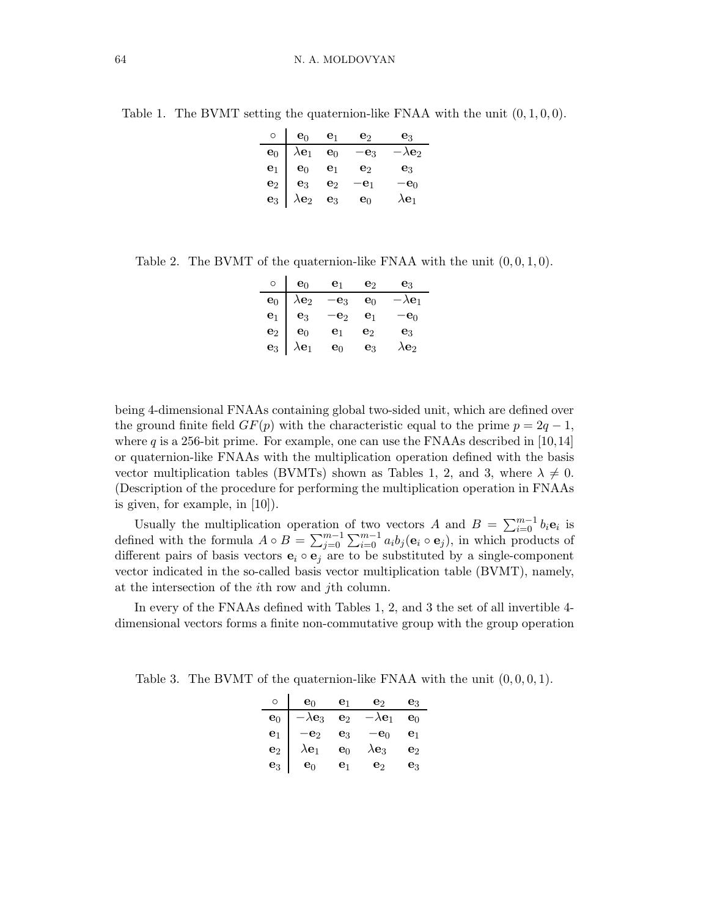Table 1. The BVMT setting the quaternion-like FNAA with the unit  $(0, 1, 0, 0)$ .

| $\circ$ $\mathbf{e}_0$ $\mathbf{e}_1$                      |                | $\mathbf{e}_2$  | $\mathbf{e}_3$            |
|------------------------------------------------------------|----------------|-----------------|---------------------------|
| $\mathbf{e}_0$ $\lambda \mathbf{e}_1$                      | $\mathbf{e}_0$ | $-\mathbf{e}_3$ | $-\lambda$ e <sub>2</sub> |
| $\mathbf{e}_1 \parallel \mathbf{e}_0$                      | $\mathbf{e}_1$ | $\mathbf{e}_2$  | $\mathbf{e}_3$            |
| $\mathbf{e}_2$   $\mathbf{e}_3$                            | $\mathbf{e}_2$ | $-\mathbf{e}_1$ | $-\mathbf{e}_0$           |
| $\mathbf{e}_3 \mid \lambda \mathbf{e}_2 \mid \mathbf{e}_3$ |                | $\mathbf{e}_0$  | $\lambda {\bf e}_1$       |

Table 2. The BVMT of the quaternion-like FNAA with the unit  $(0, 0, 1, 0)$ .

| $\circ$        | $\mathbf{e}_0$           | e <sub>1</sub>  | e2             | $\mathbf{e}_3$           |
|----------------|--------------------------|-----------------|----------------|--------------------------|
| $\mathbf{e}_0$ | $\lambda{\bf e}_2$       | $-\mathbf{e}_3$ | $\mathbf{e}_0$ | $-\lambda {\mathbf e}_1$ |
| $\mathbf{e}_1$ | $\mathbf{e}_3$           | $-\mathbf{e}_2$ | $\mathbf{e}_1$ | $-e_0$                   |
| $\mathbf{e}_2$ | $e_0$                    | e <sub>1</sub>  | e2             | $e_3$                    |
| $\mathbf{e}_3$ | $\lambda$ e <sub>1</sub> | e٥              | eз             | \e2                      |

being 4-dimensional FNAAs containing global two-sided unit, which are defined over the ground finite field  $GF(p)$  with the characteristic equal to the prime  $p = 2q - 1$ , where q is a 256-bit prime. For example, one can use the FNAAs described in  $[10,14]$ or quaternion-like FNAAs with the multiplication operation defined with the basis vector multiplication tables (BVMTs) shown as Tables 1, 2, and 3, where  $\lambda \neq 0$ . (Description of the procedure for performing the multiplication operation in FNAAs is given, for example, in [10]).

Usually the multiplication operation of two vectors A and  $B = \sum_{i=0}^{m-1} b_i \mathbf{e}_i$  is defined with the formula  $A \circ B = \sum_{j=0}^{m-1} \sum_{i=0}^{m-1} a_i b_j (e_i \circ e_j)$ , in which products of different pairs of basis vectors  $e_i \circ e_j$  are to be substituted by a single-component vector indicated in the so-called basis vector multiplication table (BVMT), namely, at the intersection of the ith row and jth column.

In every of the FNAAs defined with Tables 1, 2, and 3 the set of all invertible 4 dimensional vectors forms a finite non-commutative group with the group operation

Table 3. The BVMT of the quaternion-like FNAA with the unit  $(0, 0, 0, 1)$ .

| O              | $e_0$                    | e <sub>1</sub> | e2                       | eз             |
|----------------|--------------------------|----------------|--------------------------|----------------|
| $\mathbf{e}_0$ | $\lambda$ e <sub>3</sub> | ${\bf e}_2$    | $\lambda {\mathbf e}_1$  | eი             |
| $\mathbf{e}_1$ | e <sub>2</sub>           | eз             | $\mathbf{e}_0$           | $\mathbf{e}_1$ |
| $\mathbf{e}_2$ | $\lambda {\bf e}_1$      | ${\bf e}_0$    | $\lambda$ e <sub>3</sub> | e2             |
| $e_3$          | e٥                       | е1             | e2                       | eз             |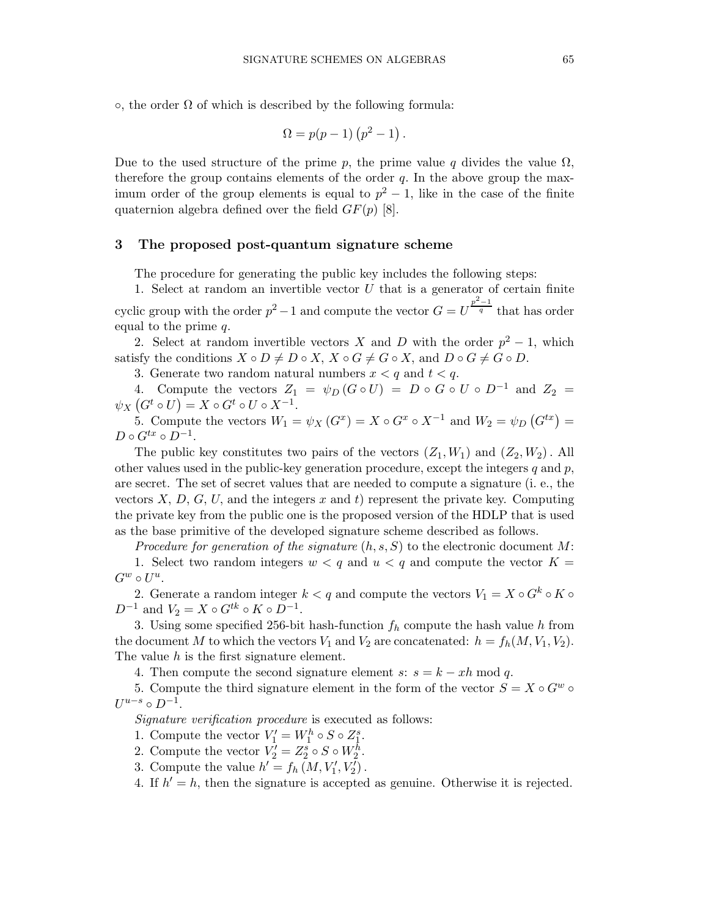$\circ$ , the order  $\Omega$  of which is described by the following formula:

$$
\Omega = p(p-1)\left(p^2 - 1\right).
$$

Due to the used structure of the prime p, the prime value q divides the value  $\Omega$ , therefore the group contains elements of the order  $q$ . In the above group the maximum order of the group elements is equal to  $p^2 - 1$ , like in the case of the finite quaternion algebra defined over the field  $GF(p)$  [8].

## 3 The proposed post-quantum signature scheme

The procedure for generating the public key includes the following steps:

1. Select at random an invertible vector  $U$  that is a generator of certain finite cyclic group with the order  $p^2-1$  and compute the vector  $G=U^{\frac{p^2-1}{q}}$  that has order equal to the prime q.

2. Select at random invertible vectors X and D with the order  $p^2 - 1$ , which satisfy the conditions  $X \circ D \neq D \circ X$ ,  $X \circ G \neq G \circ X$ , and  $D \circ G \neq G \circ D$ .

3. Generate two random natural numbers  $x < q$  and  $t < q$ .

4. Compute the vectors  $Z_1 = \psi_D (G \circ U) = D \circ G \circ U \circ D^{-1}$  and  $Z_2 =$  $\psi_X(G^t \circ U) = X \circ G^t \circ U \circ X^{-1}.$ 

5. Compute the vectors  $W_1 = \psi_X(G^x) = X \circ G^x \circ X^{-1}$  and  $W_2 = \psi_D(G^{tx}) =$  $D \circ G^{tx} \circ D^{-1}.$ 

The public key constitutes two pairs of the vectors  $(Z_1, W_1)$  and  $(Z_2, W_2)$ . All other values used in the public-key generation procedure, except the integers  $q$  and  $p$ , are secret. The set of secret values that are needed to compute a signature (i. e., the vectors  $X, D, G, U$ , and the integers x and t) represent the private key. Computing the private key from the public one is the proposed version of the HDLP that is used as the base primitive of the developed signature scheme described as follows.

Procedure for generation of the signature  $(h, s, S)$  to the electronic document M:

1. Select two random integers  $w < q$  and  $u < q$  and compute the vector  $K =$  $G^w \circ U^u$ .

2. Generate a random integer  $k < q$  and compute the vectors  $V_1 = X \circ G^k \circ K \circ$  $D^{-1}$  and  $V_2 = X \circ G^{tk} \circ K \circ D^{-1}$ .

3. Using some specified 256-bit hash-function  $f<sub>h</sub>$  compute the hash value h from the document M to which the vectors  $V_1$  and  $V_2$  are concatenated:  $h = f_h(M, V_1, V_2)$ . The value h is the first signature element.

4. Then compute the second signature element s:  $s = k - xh \mod q$ .

5. Compute the third signature element in the form of the vector  $S = X \circ G^w$  $U^{u-s} \circ D^{-1}.$ 

Signature verification procedure is executed as follows:

1. Compute the vector  $V'_1 = W_1^h \circ S \circ Z_1^s$ .

2. Compute the vector  $V_2' = Z_2^s \circ S \circ W_2^{\tilde{h}}$ .

3. Compute the value  $h' = f_h(M, V_1', V_2')$ .

4. If  $h' = h$ , then the signature is accepted as genuine. Otherwise it is rejected.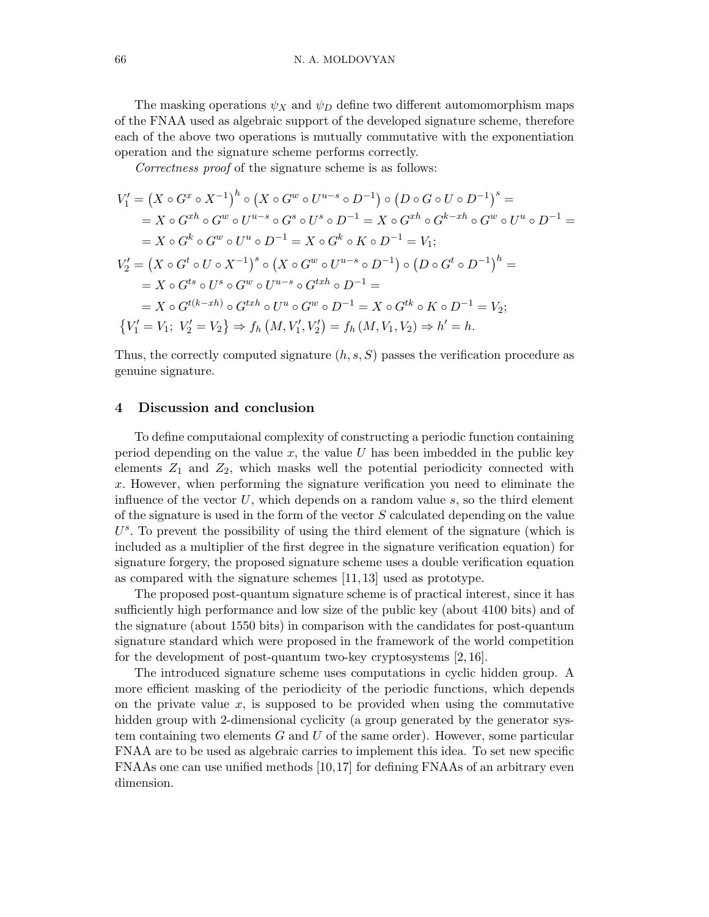The masking operations  $\psi_X$  and  $\psi_D$  define two different automomorphism maps of the FNAA used as algebraic support of the developed signature scheme, therefore each of the above two operations is mutually commutative with the exponentiation operation and the signature scheme performs correctly.

Correctness proof of the signature scheme is as follows:

$$
V'_1 = (X \circ G^x \circ X^{-1})^h \circ (X \circ G^w \circ U^{u-s} \circ D^{-1}) \circ (D \circ G \circ U \circ D^{-1})^s =
$$
  
=  $X \circ G^{xh} \circ G^w \circ U^{u-s} \circ G^s \circ U^s \circ D^{-1} = X \circ G^{xh} \circ G^{k-xh} \circ G^w \circ U^u \circ D^{-1} =$   
=  $X \circ G^k \circ G^w \circ U^u \circ D^{-1} = X \circ G^k \circ K \circ D^{-1} = V_1;$   

$$
V'_2 = (X \circ G^t \circ U \circ X^{-1})^s \circ (X \circ G^w \circ U^{u-s} \circ D^{-1}) \circ (D \circ G^t \circ D^{-1})^h =
$$
  
=  $X \circ G^{ts} \circ U^s \circ G^w \circ U^{u-s} \circ G^{txh} \circ D^{-1} =$   
=  $X \circ G^{t(k-xh)} \circ G^{txh} \circ U^u \circ G^w \circ D^{-1} = X \circ G^{tk} \circ K \circ D^{-1} = V_2;$   

$$
\{V'_1 = V_1; V'_2 = V_2\} \Rightarrow f_h (M, V'_1, V'_2) = f_h (M, V_1, V_2) \Rightarrow h' = h.
$$

Thus, the correctly computed signature  $(h, s, S)$  passes the verification procedure as genuine signature.

### 4 Discussion and conclusion

To define computaional complexity of constructing a periodic function containing period depending on the value  $x$ , the value  $U$  has been imbedded in the public key elements  $Z_1$  and  $Z_2$ , which masks well the potential periodicity connected with x. However, when performing the signature verification you need to eliminate the influence of the vector U, which depends on a random value  $s$ , so the third element of the signature is used in the form of the vector  $S$  calculated depending on the value  $U^s$ . To prevent the possibility of using the third element of the signature (which is included as a multiplier of the first degree in the signature verification equation) for signature forgery, the proposed signature scheme uses a double verification equation as compared with the signature schemes [11, 13] used as prototype.

The proposed post-quantum signature scheme is of practical interest, since it has sufficiently high performance and low size of the public key (about 4100 bits) and of the signature (about 1550 bits) in comparison with the candidates for post-quantum signature standard which were proposed in the framework of the world competition for the development of post-quantum two-key cryptosystems [2, 16].

The introduced signature scheme uses computations in cyclic hidden group. A more efficient masking of the periodicity of the periodic functions, which depends on the private value  $x$ , is supposed to be provided when using the commutative hidden group with 2-dimensional cyclicity (a group generated by the generator system containing two elements  $G$  and  $U$  of the same order). However, some particular FNAA are to be used as algebraic carries to implement this idea. To set new specific FNAAs one can use unified methods [10,17] for defining FNAAs of an arbitrary even dimension.